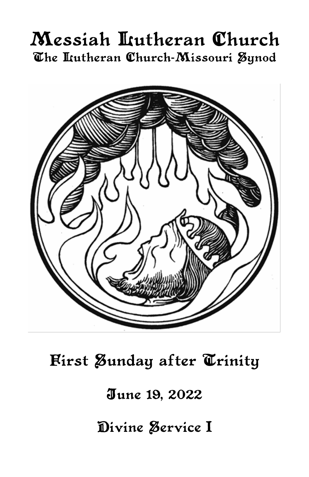# Messiah Lutheran Church The Itutheran Church-Missouri Synod



First Zunday after Trinity

June 19, 2022

Divine Service I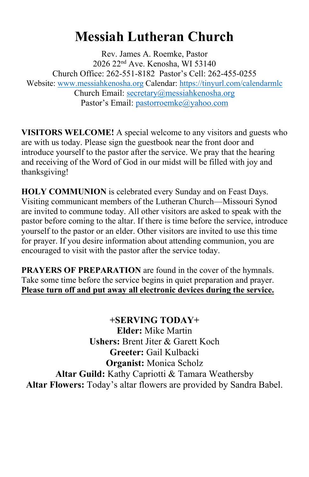## **Messiah Lutheran Church**

Rev. James A. Roemke, Pastor 2026 22nd Ave. Kenosha, WI 53140 Church Office: 262-551-8182 Pastor's Cell: 262-455-0255 Website: [www.messiahkenosha.org](http://www.messiahkenosha.org/) Calendar: <https://tinyurl.com/calendarmlc> Church Email: [secretary@messiahkenosha.org](https://d.docs.live.net/fdeed90a8019e9e6/Documents/2019%20PDF%20Bulletins/secretary@messiahkenosha.org) Pastor's Email: [pastorroemke@yahoo.com](mailto:pastorroemke@yahoo.com)

**VISITORS WELCOME!** A special welcome to any visitors and guests who are with us today. Please sign the guestbook near the front door and introduce yourself to the pastor after the service. We pray that the hearing and receiving of the Word of God in our midst will be filled with joy and thanksgiving!

**HOLY COMMUNION** is celebrated every Sunday and on Feast Days. Visiting communicant members of the Lutheran Church—Missouri Synod are invited to commune today. All other visitors are asked to speak with the pastor before coming to the altar. If there is time before the service, introduce yourself to the pastor or an elder. Other visitors are invited to use this time for prayer. If you desire information about attending communion, you are encouraged to visit with the pastor after the service today.

**PRAYERS OF PREPARATION** are found in the cover of the hymnals. Take some time before the service begins in quiet preparation and prayer. **Please turn off and put away all electronic devices during the service.**

**+SERVING TODAY+ Elder:** Mike Martin **Ushers:** Brent Jiter & Garett Koch **Greeter:** Gail Kulbacki **Organist:** Monica Scholz **Altar Guild:** Kathy Capriotti & Tamara Weathersby **Altar Flowers:** Today's altar flowers are provided by Sandra Babel.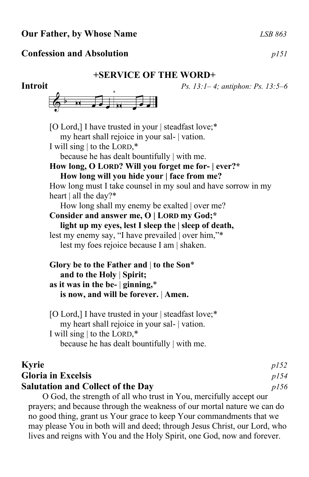### **Our Father, by Whose Name** *LSB 863*

### **Confession and Absolution** *p151*

### **+SERVICE OF THE WORD+**

**Introit** *Ps. 13:1– 4; antiphon: Ps. 13:5–6*



[O Lord,] I have trusted in your | steadfast love;\* my heart shall rejoice in your sal- | vation. I will sing | to the LORD,\* because he has dealt bountifully | with me. **How long, O LORD? Will you forget me for- | ever?\* How long will you hide your | face from me?** How long must I take counsel in my soul and have sorrow in my heart | all the day?\* How long shall my enemy be exalted | over me? **Consider and answer me, O | LORD my God;\* light up my eyes, lest I sleep the | sleep of death,** lest my enemy say, "I have prevailed | over him,"\* lest my foes rejoice because I am | shaken. **Glory be to the Father and** | **to the Son**\*  **and to the Holy** | **Spirit; as it was in the be-** | **ginning,**\*  **is now, and will be forever.** | **Amen.** [O Lord,] I have trusted in your | steadfast love;\* my heart shall rejoice in your sal- | vation. I will sing | to the LORD,\*

because he has dealt bountifully | with me.

| <b>Kyrie</b>                             | p152 |
|------------------------------------------|------|
| <b>Gloria in Excelsis</b>                | p/54 |
| <b>Salutation and Collect of the Day</b> | p/56 |

O God, the strength of all who trust in You, mercifully accept our prayers; and because through the weakness of our mortal nature we can do no good thing, grant us Your grace to keep Your commandments that we may please You in both will and deed; through Jesus Christ, our Lord, who lives and reigns with You and the Holy Spirit, one God, now and forever.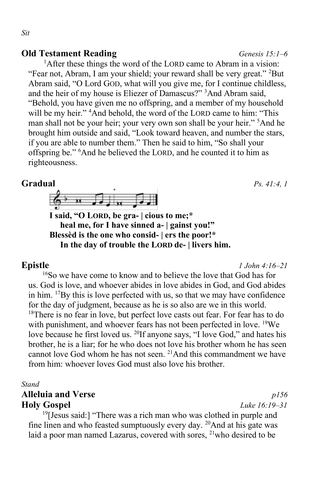### **Old Testament Reading** *Genesis 15:1–6*

<sup>1</sup>After these things the word of the LORD came to Abram in a vision: "Fear not, Abram, I am your shield; your reward shall be very great." <sup>2</sup>But Abram said, "O Lord GOD, what will you give me, for I continue childless, and the heir of my house is Eliezer of Damascus?" <sup>3</sup>And Abram said, "Behold, you have given me no offspring, and a member of my household will be my heir." <sup>4</sup>And behold, the word of the LORD came to him: "This man shall not be your heir; your very own son shall be your heir." <sup>5</sup>And he brought him outside and said, "Look toward heaven, and number the stars, if you are able to number them." Then he said to him, "So shall your offspring be." <sup>6</sup>And he believed the LORD, and he counted it to him as righteousness.



**I said, "O LORD, be gra- | cious to me;\* heal me, for I have sinned a- | gainst you!" Blessèd is the one who consid- | ers the poor!\* In the day of trouble the LORD de- | livers him.**

**Epistle** *1 John 4:16–21*

<sup>16</sup>So we have come to know and to believe the love that God has for us. God is love, and whoever abides in love abides in God, and God abides in him. <sup>17</sup>By this is love perfected with us, so that we may have confidence for the day of judgment, because as he is so also are we in this world.  $18$ There is no fear in love, but perfect love casts out fear. For fear has to do with punishment, and whoever fears has not been perfected in love. <sup>19</sup>We love because he first loved us. <sup>20</sup>If anyone says, "I love God," and hates his brother, he is a liar; for he who does not love his brother whom he has seen cannot love God whom he has not seen.  $21$ And this commandment we have from him: whoever loves God must also love his brother.

### *Stand*

## **Alleluia and Verse** *p156* **Holy Gospel** *Luke 16:19–31*

 $19$ [Jesus said:] "There was a rich man who was clothed in purple and fine linen and who feasted sumptuously every day.  $^{20}$ And at his gate was laid a poor man named Lazarus, covered with sores, <sup>21</sup>who desired to be

**Gradual** *Ps. 41:4, 1*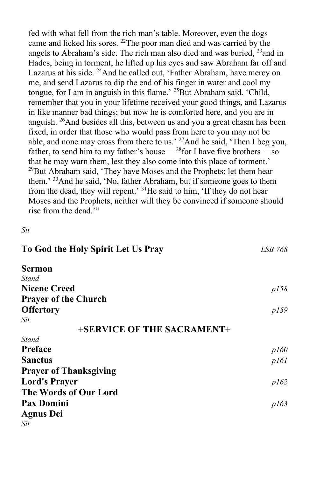fed with what fell from the rich man's table. Moreover, even the dogs came and licked his sores. <sup>22</sup>The poor man died and was carried by the angels to Abraham's side. The rich man also died and was buried,  $^{23}$  and in Hades, being in torment, he lifted up his eyes and saw Abraham far off and Lazarus at his side. <sup>24</sup>And he called out, 'Father Abraham, have mercy on me, and send Lazarus to dip the end of his finger in water and cool my tongue, for I am in anguish in this flame.' <sup>25</sup>But Abraham said, 'Child, remember that you in your lifetime received your good things, and Lazarus in like manner bad things; but now he is comforted here, and you are in anguish. <sup>26</sup>And besides all this, between us and you a great chasm has been fixed, in order that those who would pass from here to you may not be able, and none may cross from there to us.' <sup>27</sup>And he said, 'Then I beg you, father, to send him to my father's house— <sup>28</sup>for I have five brothers —so that he may warn them, lest they also come into this place of torment.'  $^{29}$ But Abraham said, 'They have Moses and the Prophets; let them hear them.' <sup>30</sup>And he said, 'No, father Abraham, but if someone goes to them from the dead, they will repent.' <sup>31</sup>He said to him, 'If they do not hear Moses and the Prophets, neither will they be convinced if someone should rise from the dead.'"

*Sit*

| To God the Holy Spirit Let Us Pray | LSB 768 |
|------------------------------------|---------|
| Sermon                             |         |
| Stand                              |         |
| <b>Nicene Creed</b>                | p158    |
| <b>Prayer of the Church</b>        |         |
| <b>Offertory</b>                   | p159    |
| Sit                                |         |
| +SERVICE OF THE SACRAMENT+         |         |
| Stand                              |         |
| <b>Preface</b>                     | p160    |
| <b>Sanctus</b>                     | p161    |
| <b>Prayer of Thanksgiving</b>      |         |
| <b>Lord's Prayer</b>               | p162    |
| The Words of Our Lord              |         |
| <b>Pax Domini</b>                  | p163    |
| <b>Agnus Dei</b>                   |         |
| Sit                                |         |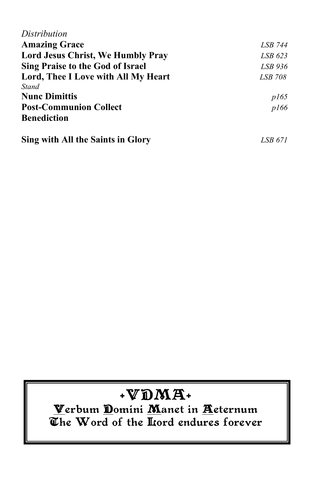| Distribution                             |         |
|------------------------------------------|---------|
| <b>Amazing Grace</b>                     | LSB 744 |
| <b>Lord Jesus Christ, We Humbly Pray</b> | LSB 623 |
| <b>Sing Praise to the God of Israel</b>  | LSB 936 |
| Lord, Thee I Love with All My Heart      | LSB 708 |
| <b>Stand</b>                             |         |
| <b>Nunc Dimittis</b>                     | p165    |
| <b>Post-Communion Collect</b>            | p166    |
| <b>Benediction</b>                       |         |
| Sing with All the Saints in Glory        | LSB 671 |

## $\mathbf{WDMA}$

Verbum Domini Manet in Aeternum The Word of the Hord endures forever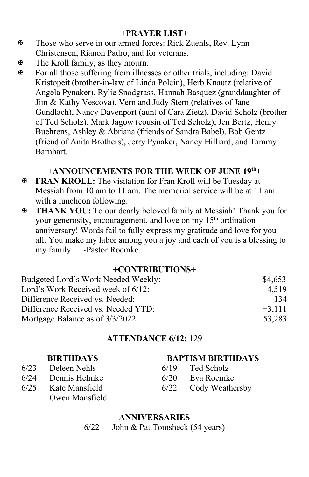### **+PRAYER LIST+**

- Those who serve in our armed forces: Rick Zuehls, Rev. Lynn Christensen, Rianon Padro, and for veterans.
- **EXECUTE:** The Kroll family, as they mourn.
- For all those suffering from illnesses or other trials, including: David Kristopeit (brother-in-law of Linda Polcin), Herb Knautz (relative of Angela Pynaker), Rylie Snodgrass, Hannah Basquez (granddaughter of Jim & Kathy Vescova), Vern and Judy Stern (relatives of Jane Gundlach), Nancy Davenport (aunt of Cara Zietz), David Scholz (brother of Ted Scholz), Mark Jagow (cousin of Ted Scholz), Jen Bertz, Henry Buehrens, Ashley & Abriana (friends of Sandra Babel), Bob Gentz (friend of Anita Brothers), Jerry Pynaker, Nancy Hilliard, and Tammy Barnhart.

### **+ANNOUNCEMENTS FOR THE WEEK OF JUNE 19 th+**

- **FRAN KROLL:** The visitation for Fran Kroll will be Tuesday at Messiah from 10 am to 11 am. The memorial service will be at 11 am with a luncheon following.
- **THANK YOU:** To our dearly beloved family at Messiah! Thank you for your generosity, encouragement, and love on my 15<sup>th</sup> ordination anniversary! Words fail to fully express my gratitude and love for you all. You make my labor among you a joy and each of you is a blessing to my family. ~Pastor Roemke

### **+CONTRIBUTIONS+**

| Budgeted Lord's Work Needed Weekly: | \$4,653  |
|-------------------------------------|----------|
| Lord's Work Received week of 6/12:  | 4.519    |
| Difference Received vs. Needed:     | -134     |
| Difference Received vs. Needed YTD: | $+3.111$ |
| Mortgage Balance as of 3/3/2022:    | 53,283   |

### **ATTENDANCE 6/12:** 129

### **BIRTHDAYS BAPTISM BIRTHDAYS**

- 6/23 Deleen Nehls 6/19 Ted Scholz
- 6/24 Dennis Helmke 6/20 Eva Roemke
- 6/25 Kate Mansfield 6/22 Cody Weathersby
	- Owen Mansfield

## **ANNIVERSARIES**

6/22 John & Pat Tomsheck (54 years)